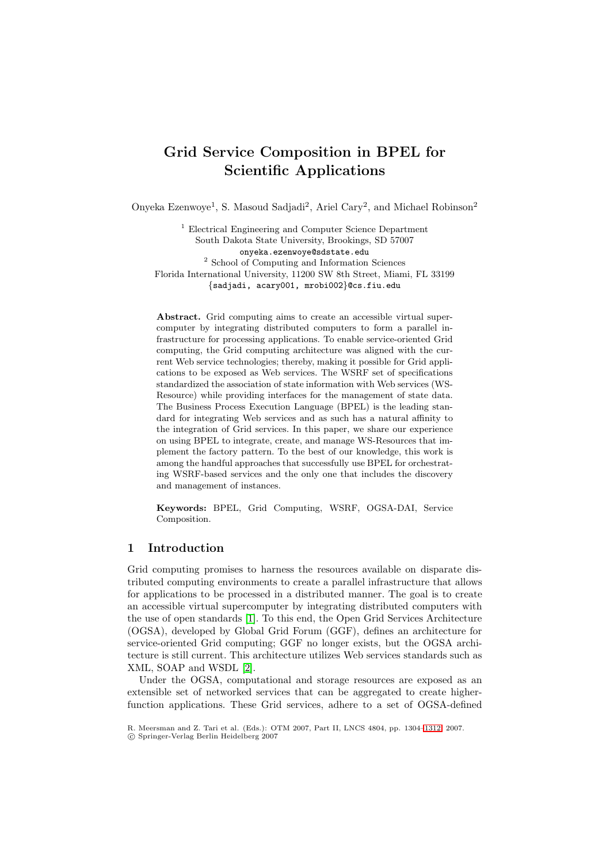# **Grid Service Composition in BPEL for Scientific Applications**

Onyeka Ezenwoye<sup>1</sup>, S. Masoud Sadjadi<sup>2</sup>, Ariel Cary<sup>2</sup>, and Michael Robinson<sup>2</sup>

<sup>1</sup> Electrical Engineering and Computer Science Department South Dakota State University, Brookings, SD 57007 onyeka.ezenwoye@sdstate.edu <sup>2</sup> School of Computing and Information Sciences Florida International University, 11200 SW 8th Street, Miami, FL 33199 {sadjadi, acary001, mrobi002}@cs.fiu.edu

**Abstract.** Grid computing aims to create an accessible virtual supercomputer by integrating distributed computers to form a parallel infrastructure for processing applications. To enable service-oriented Grid computing, the Grid computing architecture was aligned with the current Web service technologies; thereby, making it possible for Grid applications to be exposed as Web services. The WSRF set of specifications standardized the association of state information with Web services (WS-Resource) while providing interfaces for the management of state data. The Business Process Execution Language (BPEL) is the leading standard for integrating Web services and as such has a natural affinity to the integration of Grid services. In this paper, we share our experience on using BPEL to integrate, create, and manage WS-Resources that implement the factory pattern. To the best of our knowledge, this work is among the handful approaches that successfully use BPEL for orchestrating WSRF-based services and the only one that includes the discovery and management of instances.

**Keywords:** BPEL, Grid Computing, WSRF, OGSA-DAI, Service Composition.

## **1 Introduction**

Grid computing promises to harness the resources available on disparate distributed computing environments to create a parallel infrastructure that allows for applications to be processed in a distributed manner. The goal is to create an accessible virtual supercomputer by integrating distributed computers with the use of open standards [\[1\]](#page-7-0). To this end, the Open Grid Services Architecture (OGSA), developed by Global Grid Forum (GGF), defines an architecture for service-oriented Grid computing; GGF no longer exists, but the OGSA architecture is still current. This architecture utilizes Web services standards such as XML, SOAP and WSDL [\[2\]](#page-7-1).

Under the OGSA, computational and storage resources are exposed as an extensible set of networked services that can be aggregated to create higherfunction applications. These Grid services, adhere to a set of OGSA-defined

R. Meersman and Z. Tari et al. (Eds.): OTM 2007, Part II, LNCS 4804, pp. 1304[–1312,](#page-7-2) 2007.

<sup>-</sup>c Springer-Verlag Berlin Heidelberg 2007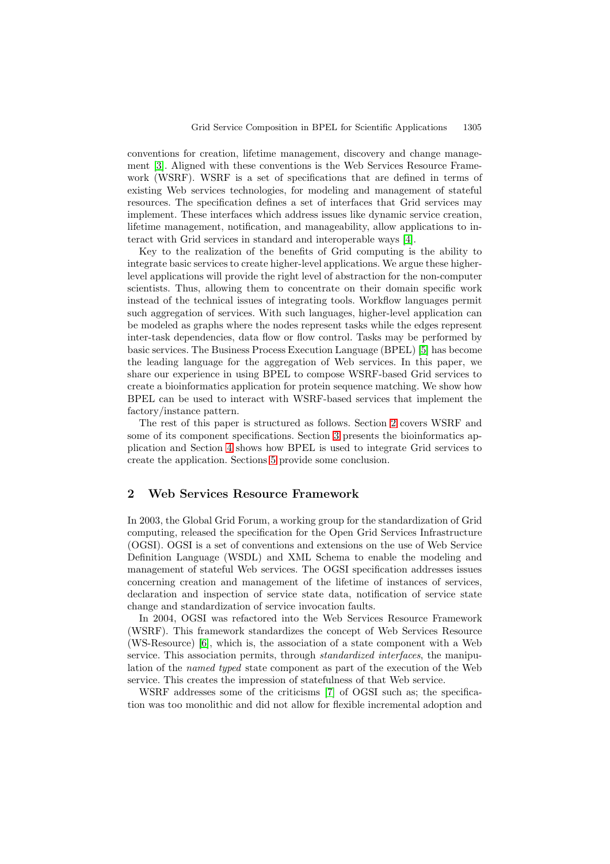conventions for creation, lifetime management, discovery and change management [\[3\]](#page-7-3). Aligned with these conventions is the Web Services Resource Framework (WSRF). WSRF is a set of specifications that are defined in terms of existing Web services technologies, for modeling and management of stateful resources. The specification defines a set of interfaces that Grid services may implement. These interfaces which address issues like dynamic service creation, lifetime management, notification, and manageability, allow applications to interact with Grid services in standard and interoperable ways [\[4\]](#page-7-4).

Key to the realization of the benefits of Grid computing is the ability to integrate basic services to create higher-level applications. We argue these higherlevel applications will provide the right level of abstraction for the non-computer scientists. Thus, allowing them to concentrate on their domain specific work instead of the technical issues of integrating tools. Workflow languages permit such aggregation of services. With such languages, higher-level application can be modeled as graphs where the nodes represent tasks while the edges represent inter-task dependencies, data flow or flow control. Tasks may be performed by basic services. The Business Process Execution Language (BPEL) [\[5\]](#page-7-5) has become the leading language for the aggregation of Web services. In this paper, we share our experience in using BPEL to compose WSRF-based Grid services to create a bioinformatics application for protein sequence matching. We show how BPEL can be used to interact with WSRF-based services that implement the factory/instance pattern.

The rest of this paper is structured as follows. Section [2](#page-1-0) covers WSRF and some of its component specifications. Section [3](#page-2-0) presents the bioinformatics application and Section [4](#page-3-0) shows how BPEL is used to integrate Grid services to create the application. Sections [5](#page-7-6) provide some conclusion.

### <span id="page-1-0"></span>**2 Web Services Resource Framework**

In 2003, the Global Grid Forum, a working group for the standardization of Grid computing, released the specification for the Open Grid Services Infrastructure (OGSI). OGSI is a set of conventions and extensions on the use of Web Service Definition Language (WSDL) and XML Schema to enable the modeling and management of stateful Web services. The OGSI specification addresses issues concerning creation and management of the lifetime of instances of services, declaration and inspection of service state data, notification of service state change and standardization of service invocation faults.

In 2004, OGSI was refactored into the Web Services Resource Framework (WSRF). This framework standardizes the concept of Web Services Resource (WS-Resource) [\[6\]](#page-7-7), which is, the association of a state component with a Web service. This association permits, through *standardized interfaces*, the manipulation of the named typed state component as part of the execution of the Web service. This creates the impression of statefulness of that Web service.

WSRF addresses some of the criticisms [\[7\]](#page-7-8) of OGSI such as; the specification was too monolithic and did not allow for flexible incremental adoption and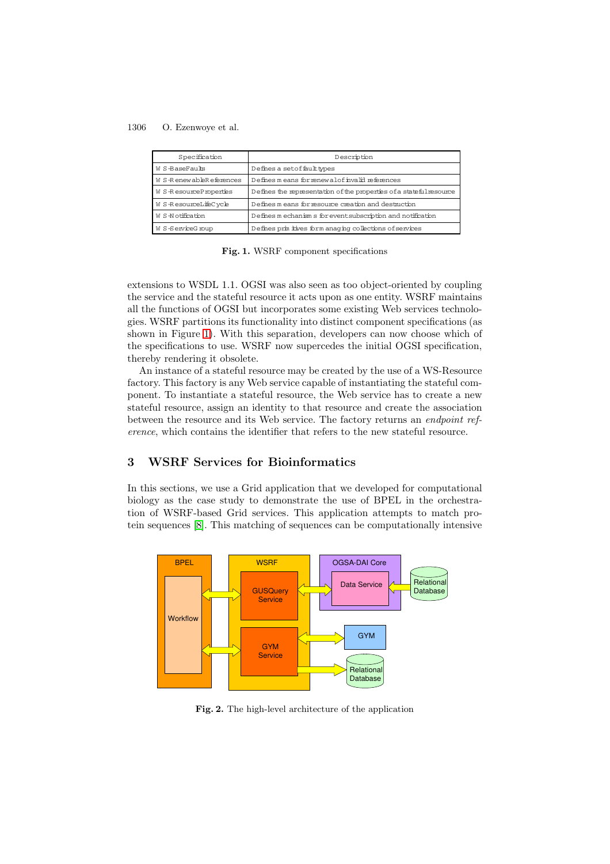| Specification           | Description                                                         |
|-------------------------|---------------------------------------------------------------------|
| W S-BaseFaults          | Defnes a set of fault types                                         |
| W S-RenewableReferences | Defnes means for renewal of nvalid references                       |
| W S-ResourceProperties  | Defines the representation of the properties of a stateful resource |
| W S-ResourceLifeCycle   | Defnes means for resource creation and destruction                  |
| W S-Notification        | Defines mechanisms for event subscription and notification          |
| W S-ServiceG roup       | Defines prin itives form anaging collections of services            |

<span id="page-2-1"></span>**Fig. 1.** WSRF component specifications

extensions to WSDL 1.1. OGSI was also seen as too object-oriented by coupling the service and the stateful resource it acts upon as one entity. WSRF maintains all the functions of OGSI but incorporates some existing Web services technologies. WSRF partitions its functionality into distinct component specifications (as shown in Figure [1\)](#page-2-1). With this separation, developers can now choose which of the specifications to use. WSRF now supercedes the initial OGSI specification, thereby rendering it obsolete.

An instance of a stateful resource may be created by the use of a WS-Resource factory. This factory is any Web service capable of instantiating the stateful component. To instantiate a stateful resource, the Web service has to create a new stateful resource, assign an identity to that resource and create the association between the resource and its Web service. The factory returns an endpoint reference, which contains the identifier that refers to the new stateful resource.

## <span id="page-2-0"></span>**3 WSRF Services for Bioinformatics**

In this sections, we use a Grid application that we developed for computational biology as the case study to demonstrate the use of BPEL in the orchestration of WSRF-based Grid services. This application attempts to match protein sequences [\[8\]](#page-7-9). This matching of sequences can be computationally intensive



<span id="page-2-2"></span>**Fig. 2.** The high-level architecture of the application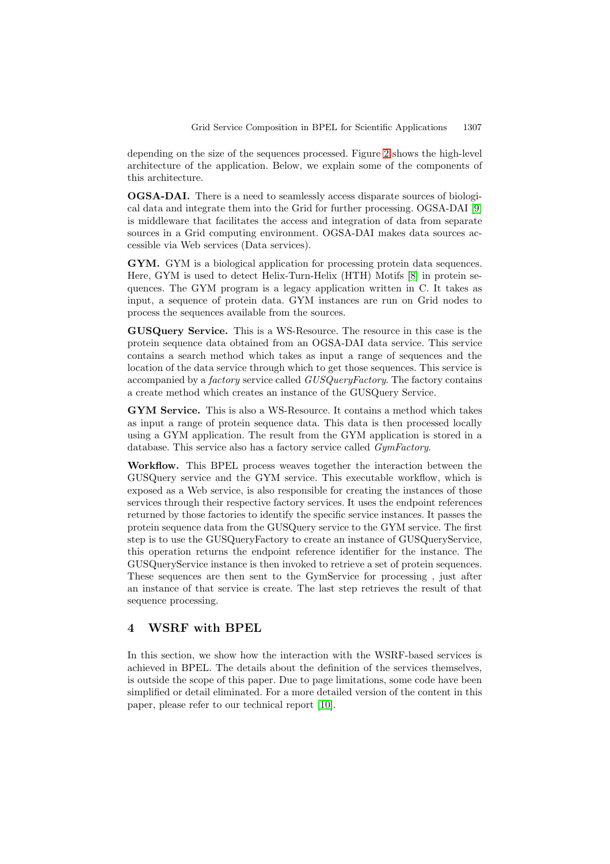depending on the size of the sequences processed. Figure [2](#page-2-2) shows the high-level architecture of the application. Below, we explain some of the components of this architecture.

**OGSA-DAI.** There is a need to seamlessly access disparate sources of biological data and integrate them into the Grid for further processing. OGSA-DAI [\[9\]](#page-8-0) is middleware that facilitates the access and integration of data from separate sources in a Grid computing environment. OGSA-DAI makes data sources accessible via Web services (Data services).

<span id="page-3-2"></span>**GYM.** GYM is a biological application for processing protein data sequences. Here, GYM is used to detect Helix-Turn-Helix (HTH) Motifs [\[8\]](#page-7-9) in protein sequences. The GYM program is a legacy application written in C. It takes as input, a sequence of protein data. GYM instances are run on Grid nodes to process the sequences available from the sources.

**GUSQuery Service.** This is a WS-Resource. The resource in this case is the protein sequence data obtained from an OGSA-DAI data service. This service contains a search method which takes as input a range of sequences and the location of the data service through which to get those sequences. This service is accompanied by a factory service called GUSQueryFactory. The factory contains a create method which creates an instance of the GUSQuery Service.

<span id="page-3-1"></span>**GYM Service.** This is also a WS-Resource. It contains a method which takes as input a range of protein sequence data. This data is then processed locally using a GYM application. The result from the GYM application is stored in a database. This service also has a factory service called *GymFactory*.

**Workflow.** This BPEL process weaves together the interaction between the GUSQuery service and the GYM service. This executable workflow, which is exposed as a Web service, is also responsible for creating the instances of those services through their respective factory services. It uses the endpoint references returned by those factories to identify the specific service instances. It passes the protein sequence data from the GUSQuery service to the GYM service. The first step is to use the GUSQueryFactory to create an instance of GUSQueryService, this operation returns the endpoint reference identifier for the instance. The GUSQueryService instance is then invoked to retrieve a set of protein sequences. These sequences are then sent to the GymService for processing , just after an instance of that service is create. The last step retrieves the result of that sequence processing.

# <span id="page-3-0"></span>**4 WSRF with BPEL**

In this section, we show how the interaction with the WSRF-based services is achieved in BPEL. The details about the definition of the services themselves, is outside the scope of this paper. Due to page limitations, some code have been simplified or detail eliminated. For a more detailed version of the content in this paper, please refer to our technical report [\[10\]](#page-8-1).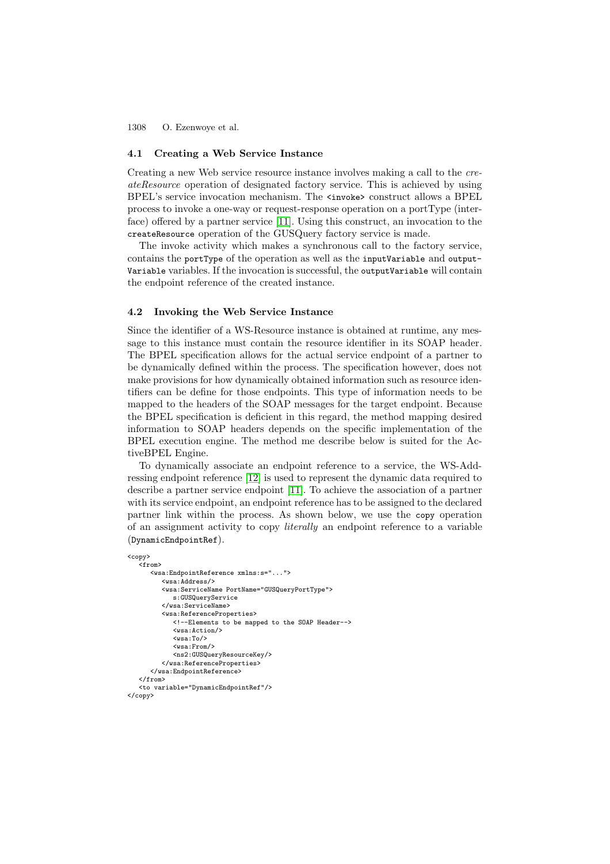#### **4.1 Creating a Web Service Instance**

Creating a new Web service resource instance involves making a call to the createResource operation of designated factory service. This is achieved by using BPEL's service invocation mechanism. The <invoke> construct allows a BPEL process to invoke a one-way or request-response operation on a portType (interface) offered by a partner service [\[11\]](#page-8-2). Using this construct, an invocation to the createResource operation of the GUSQuery factory service is made.

The invoke activity which makes a synchronous call to the factory service, contains the portType of the operation as well as the inputVariable and output-Variable variables. If the invocation is successful, the outputVariable will contain the endpoint reference of the created instance.

#### <span id="page-4-0"></span>**4.2 Invoking the Web Service Instance**

Since the identifier of a WS-Resource instance is obtained at runtime, any message to this instance must contain the resource identifier in its SOAP header. The BPEL specification allows for the actual service endpoint of a partner to be dynamically defined within the process. The specification however, does not make provisions for how dynamically obtained information such as resource identifiers can be define for those endpoints. This type of information needs to be mapped to the headers of the SOAP messages for the target endpoint. Because the BPEL specification is deficient in this regard, the method mapping desired information to SOAP headers depends on the specific implementation of the BPEL execution engine. The method me describe below is suited for the ActiveBPEL Engine.

To dynamically associate an endpoint reference to a service, the WS-Addressing endpoint reference [\[12\]](#page-8-3) is used to represent the dynamic data required to describe a partner service endpoint [\[11\]](#page-8-2). To achieve the association of a partner with its service endpoint, an endpoint reference has to be assigned to the declared partner link within the process. As shown below, we use the copy operation of an assignment activity to copy literally an endpoint reference to a variable (DynamicEndpointRef).

```
<copy>
   ..<br><from>
      <wsa:EndpointReference xmlns:s="...">
         <wsa:Address/>
         <wsa:ServiceName PortName="GUSQueryPortType">
            s:GUSQueryService
         </wsa:ServiceName>
         .<br><wsa:ReferenceProperties>
            <!--Elements to be mapped to the SOAP Header-->
            <wsa:Action/>
            <wsa:To/>
            <wsa:From/>
            <ns2:GUSQueryResourceKey/>
         </wsa:ReferenceProperties>
      </wsa:EndpointReference>
   </from>
   <to variable="DynamicEndpointRef"/>
</copy>
```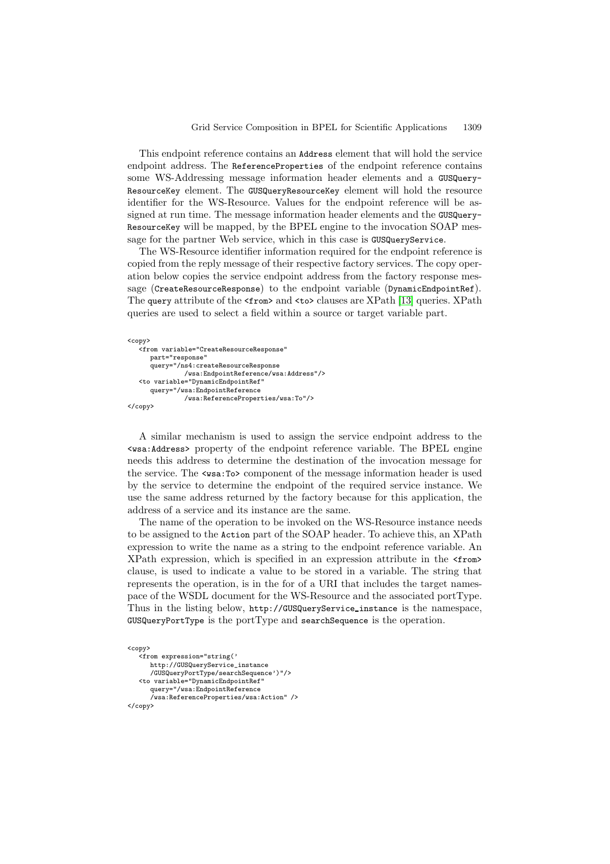This endpoint reference contains an Address element that will hold the service endpoint address. The ReferenceProperties of the endpoint reference contains some WS-Addressing message information header elements and a GUSQuery-ResourceKey element. The GUSQueryResourceKey element will hold the resource identifier for the WS-Resource. Values for the endpoint reference will be assigned at run time. The message information header elements and the GUSQuery-ResourceKey will be mapped, by the BPEL engine to the invocation SOAP message for the partner Web service, which in this case is GUSQueryService.

The WS-Resource identifier information required for the endpoint reference is copied from the reply message of their respective factory services. The copy operation below copies the service endpoint address from the factory response message (CreateResourceResponse) to the endpoint variable (DynamicEndpointRef). The query attribute of the <from> and <to> clauses are XPath [\[13\]](#page-8-4) queries. XPath queries are used to select a field within a source or target variable part.

```
<copy>
  <from variable="CreateResourceResponse"
     part="response"
     query="/ns4:createResourceResponse
               /wsa:EndpointReference/wsa:Address"/>
  <to variable="DynamicEndpointRef"
     query="/wsa:EndpointReference
               /wsa:ReferenceProperties/wsa:To"/>
</copy>
```
A similar mechanism is used to assign the service endpoint address to the <wsa:Address> property of the endpoint reference variable. The BPEL engine needs this address to determine the destination of the invocation message for the service. The  $\langle \text{wasa:To} \rangle$  component of the message information header is used by the service to determine the endpoint of the required service instance. We use the same address returned by the factory because for this application, the address of a service and its instance are the same.

The name of the operation to be invoked on the WS-Resource instance needs to be assigned to the Action part of the SOAP header. To achieve this, an XPath expression to write the name as a string to the endpoint reference variable. An XPath expression, which is specified in an expression attribute in the <from> clause, is used to indicate a value to be stored in a variable. The string that represents the operation, is in the for of a URI that includes the target namespace of the WSDL document for the WS-Resource and the associated portType. Thus in the listing below, http://GUSQueryService\_instance is the namespace, GUSQueryPortType is the portType and searchSequence is the operation.

```
<copy>
   ..<br><from expression="string('
     http://GUSQueryService_instance
      /GUSQueryPortType/searchSequence')"/>
  <to variable="DynamicEndpointRef"
     query="/wsa:EndpointReference
      /wsa:ReferenceProperties/wsa:Action" />
</copy>
```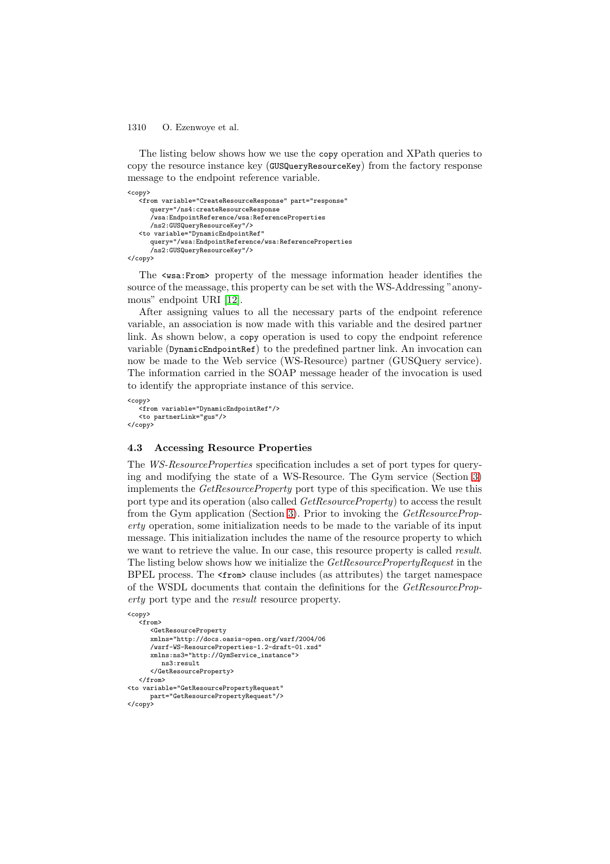The listing below shows how we use the copy operation and XPath queries to copy the resource instance key (GUSQueryResourceKey) from the factory response message to the endpoint reference variable.

```
<copy>
   <from variable="CreateResourceResponse" part="response"
      query="/ns4:createResourceResponse
      /wsa:EndpointReference/wsa:ReferenceProperties
      /ns2:GUSQueryResourceKey"/>
  <to variable="DynamicEndpointRef"
      query="/wsa:EndpointReference/wsa:ReferenceProperties
      /ns2:GUSQueryResourceKey"/>
</copy
```
The <wsa:From> property of the message information header identifies the source of the meassage, this property can be set with the WS-Addressing "anonymous" endpoint URI [\[12\]](#page-8-3).

After assigning values to all the necessary parts of the endpoint reference variable, an association is now made with this variable and the desired partner link. As shown below, a copy operation is used to copy the endpoint reference variable (DynamicEndpointRef) to the predefined partner link. An invocation can now be made to the Web service (WS-Resource) partner (GUSQuery service). The information carried in the SOAP message header of the invocation is used to identify the appropriate instance of this service.

```
<copy>
   <from variable="DynamicEndpointRef"/>
  <to partnerLink="gus"/>
</copy>
```
#### **4.3 Accessing Resource Properties**

The WS-ResourceProperties specification includes a set of port types for querying and modifying the state of a WS-Resource. The Gym service (Section [3\)](#page-3-1) implements the GetResourceProperty port type of this specification. We use this port type and its operation (also called GetResourceProperty) to access the result from the Gym application (Section [3\)](#page-3-2). Prior to invoking the GetResourceProperty operation, some initialization needs to be made to the variable of its input message. This initialization includes the name of the resource property to which we want to retrieve the value. In our case, this resource property is called *result*. The listing below shows how we initialize the  $GetResourcePropertyRequest$  in the BPEL process. The <from> clause includes (as attributes) the target namespace of the WSDL documents that contain the definitions for the GetResourceProperty port type and the result resource property.

```
<copy>
   <from>
      <GetResourceProperty
      xmlns="http://docs.oasis-open.org/wsrf/2004/06
      /wsrf-WS-ResourceProperties-1.2-draft-01.xsd"
      xmlns:ns3="http://GymService_instance">
         ns3:result
      </GetResourceProperty>
   </from>
<to variable="GetResourcePropertyRequest"
      part="GetResourcePropertyRequest"/>
</copy>
```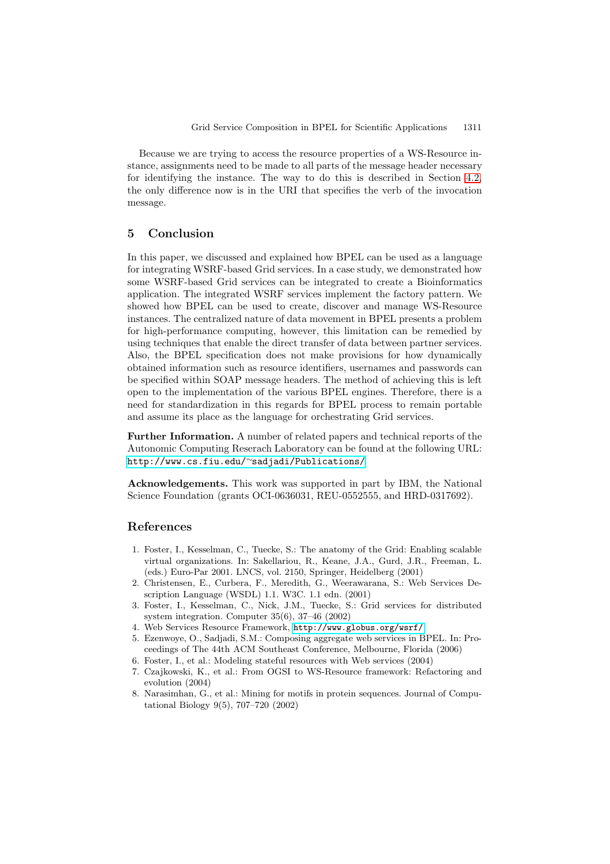Because we are trying to access the resource properties of a WS-Resource instance, assignments need to be made to all parts of the message header necessary for identifying the instance. The way to do this is described in Section [4.2,](#page-4-0) the only difference now is in the URI that specifies the verb of the invocation message.

# <span id="page-7-6"></span>**5 Conclusion**

In this paper, we discussed and explained how BPEL can be used as a language for integrating WSRF-based Grid services. In a case study, we demonstrated how some WSRF-based Grid services can be integrated to create a Bioinformatics application. The integrated WSRF services implement the factory pattern. We showed how BPEL can be used to create, discover and manage WS-Resource instances. The centralized nature of data movement in BPEL presents a problem for high-performance computing, however, this limitation can be remedied by using techniques that enable the direct transfer of data between partner services. Also, the BPEL specification does not make provisions for how dynamically obtained information such as resource identifiers, usernames and passwords can be specified within SOAP message headers. The method of achieving this is left open to the implementation of the various BPEL engines. Therefore, there is a need for standardization in this regards for BPEL process to remain portable and assume its place as the language for orchestrating Grid services.

**Further Information.** A number of related papers and technical reports of the Autonomic Computing Reserach Laboratory can be found at the following URL: [http://www.cs.fiu.edu/](http://www.cs.fiu.edu/~sadjadi/Publications/)∼sadjadi/Publications/.

**Acknowledgements.** This work was supported in part by IBM, the National Science Foundation (grants OCI-0636031, REU-0552555, and HRD-0317692).

## <span id="page-7-2"></span><span id="page-7-0"></span>**References**

- 1. Foster, I., Kesselman, C., Tuecke, S.: The anatomy of the Grid: Enabling scalable virtual organizations. In: Sakellariou, R., Keane, J.A., Gurd, J.R., Freeman, L. (eds.) Euro-Par 2001. LNCS, vol. 2150, Springer, Heidelberg (2001)
- <span id="page-7-1"></span>2. Christensen, E., Curbera, F., Meredith, G., Weerawarana, S.: Web Services Description Language (WSDL) 1.1. W3C. 1.1 edn. (2001)
- <span id="page-7-3"></span>3. Foster, I., Kesselman, C., Nick, J.M., Tuecke, S.: Grid services for distributed system integration. Computer 35(6), 37–46 (2002)
- <span id="page-7-5"></span><span id="page-7-4"></span>4. Web Services Resource Framework, <http://www.globus.org/wsrf/>
- 5. Ezenwoye, O., Sadjadi, S.M.: Composing aggregate web services in BPEL. In: Proceedings of The 44th ACM Southeast Conference, Melbourne, Florida (2006)
- <span id="page-7-8"></span><span id="page-7-7"></span>6. Foster, I., et al.: Modeling stateful resources with Web services (2004)
- 7. Czajkowski, K., et al.: From OGSI to WS-Resource framework: Refactoring and evolution (2004)
- <span id="page-7-9"></span>8. Narasimhan, G., et al.: Mining for motifs in protein sequences. Journal of Computational Biology 9(5), 707–720 (2002)